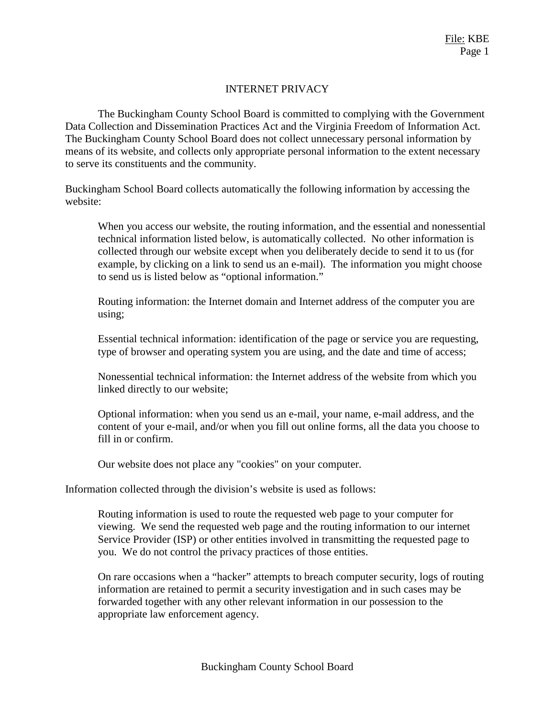## INTERNET PRIVACY

The Buckingham County School Board is committed to complying with the Government Data Collection and Dissemination Practices Act and the Virginia Freedom of Information Act. The Buckingham County School Board does not collect unnecessary personal information by means of its website, and collects only appropriate personal information to the extent necessary to serve its constituents and the community.

Buckingham School Board collects automatically the following information by accessing the website:

When you access our website, the routing information, and the essential and nonessential technical information listed below, is automatically collected. No other information is collected through our website except when you deliberately decide to send it to us (for example, by clicking on a link to send us an e-mail). The information you might choose to send us is listed below as "optional information."

Routing information: the Internet domain and Internet address of the computer you are using;

Essential technical information: identification of the page or service you are requesting, type of browser and operating system you are using, and the date and time of access;

Nonessential technical information: the Internet address of the website from which you linked directly to our website;

Optional information: when you send us an e-mail, your name, e-mail address, and the content of your e-mail, and/or when you fill out online forms, all the data you choose to fill in or confirm.

Our website does not place any "cookies" on your computer.

Information collected through the division's website is used as follows:

Routing information is used to route the requested web page to your computer for viewing. We send the requested web page and the routing information to our internet Service Provider (ISP) or other entities involved in transmitting the requested page to you. We do not control the privacy practices of those entities.

On rare occasions when a "hacker" attempts to breach computer security, logs of routing information are retained to permit a security investigation and in such cases may be forwarded together with any other relevant information in our possession to the appropriate law enforcement agency.